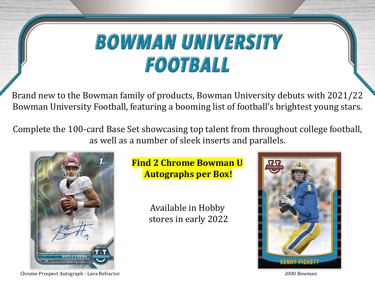Brand new to the Bowman family of products, Bowman University debuts with 2021/22 Bowman University Football, featuring a booming list of football's brightest young stars.

Complete the 100-card Base Set showcasing top talent from throughout college football, as well as a number of sleek inserts and parallels.



**Find 2 Chrome Bowman U Autographs per Box!**

> Available in Hobby stores in early 2022



Chrome Prospect Autograph - Lava Refractor 2000 Bowman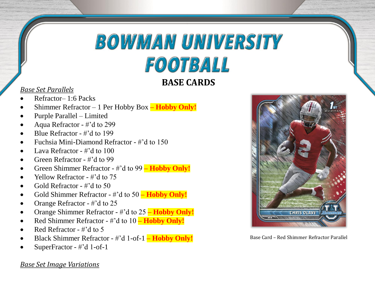## **BASE CARDS**

#### *Base Set Parallels*

- Refractor– 1:6 Packs
- Shimmer Refractor 1 Per Hobby Box **– Hobby Only!**
- Purple Parallel Limited
- Aqua Refractor #'d to 299
- Blue Refractor #'d to 199
- Fuchsia Mini-Diamond Refractor #'d to 150
- Lava Refractor  $\#$ 'd to 100
- Green Refractor #'d to 99
- Green Shimmer Refractor #'d to 99 **– Hobby Only!**
- Yellow Refractor #'d to 75
- Gold Refractor #'d to 50
- Gold Shimmer Refractor #'d to 50 **– Hobby Only!**
- Orange Refractor #'d to 25
- Orange Shimmer Refractor #'d to 25 **– Hobby Only!**
- Red Shimmer Refractor #'d to 10 **– Hobby Only!**
- Red Refractor #'d to 5
- Black Shimmer Refractor #'d 1-of-1 **– Hobby Only!**
- SuperFractor #'d 1-of-1





Base Card – Red Shimmer Refractor Parallel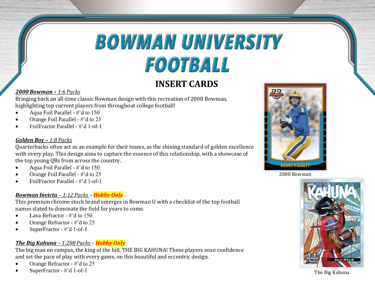## **INSERT CARDS**

#### *2000 Bowman – 1:6 Packs*

Bringing back an all-time classic Bowman design with this recreation of 2000 Bowman, highlighting top current players from throughout college football!

- Aqua Foil Parallel #'d to 150
- Orange Foil Parallel #'d to 25
- FoilFractor Parallel #'d 1-of-1

#### *Golden Boy – 1:8 Packs*

Quarterbacks often act as an example for their teams, as the shining standard of golden excellence with every play. This design aims to capture the essence of this relationship, with a showcase of the top young QBs from across the country.

- Aqua Foil Parallel #'d to 150
- Orange Foil Parallel #'d to 25
- FoilFractor Parallel #'d 1-of-1

#### *Bowman Invicta – 1:12 Packs – Hobby Only*

This premium chrome stock brand emerges in Bowman U with a checklist of the top football names slated to dominate the field for years to come.

- Lava Refractor #'d to 150
- Orange Refractor #'d to 25
- SuperFractor #'d 1-of-1

#### *The Big Kahuna – 1:288 Packs – Hobby Only*

The big man on campus, the king of the hill, THE BIG KAHUNA! These players ooze confidence and set the pace of play with every game, on this beautiful and eccentric design.

- Orange Refractor #'d to 25
- SuperFractor #'d 1-of-1







The Big Kahuna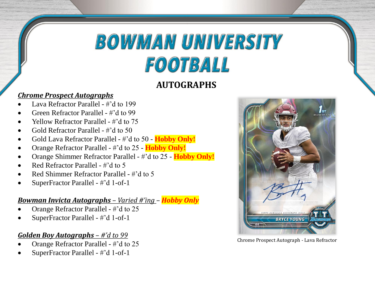## **AUTOGRAPHS**

### *Chrome Prospect Autographs*

- Lava Refractor Parallel #'d to 199
- Green Refractor Parallel #'d to 99
- Yellow Refractor Parallel #'d to 75
- Gold Refractor Parallel #'d to 50
- Gold Lava Refractor Parallel #'d to 50 **Hobby Only!**
- Orange Refractor Parallel #'d to 25 **Hobby Only!**
- Orange Shimmer Refractor Parallel #'d to 25 **Hobby Only!**
- Red Refractor Parallel #'d to 5
- Red Shimmer Refractor Parallel #'d to 5
- SuperFractor Parallel #'d 1-of-1

#### *Bowman Invicta Autographs – Varied #'ing – Hobby Only*

- Orange Refractor Parallel #'d to 25
- SuperFractor Parallel #'d 1-of-1

### *Golden Boy Autographs – #'d to 99*

- Orange Refractor Parallel #'d to 25
- SuperFractor Parallel #'d 1-of-1



Chrome Prospect Autograph - Lava Refractor